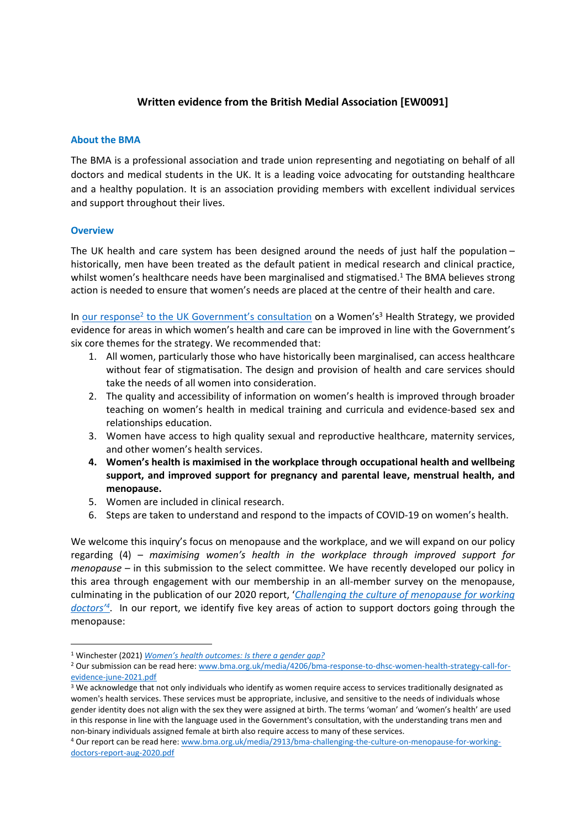# **Written evidence from the British Medial Association [EW0091]**

#### **About the BMA**

The BMA is a professional association and trade union representing and negotiating on behalf of all doctors and medical students in the UK. It is a leading voice advocating for outstanding healthcare and a healthy population. It is an association providing members with excellent individual services and support throughout their lives.

### **Overview**

The UK health and care system has been designed around the needs of just half the population – historically, men have been treated as the default patient in medical research and clinical practice, whilst women's healthcare needs have been marginalised and stigmatised.<sup>1</sup> The BMA believes strong action is needed to ensure that women's needs are placed at the centre of their health and care.

In [our](https://www.bma.org.uk/media/4206/bma-response-to-dhsc-women-health-strategy-call-for-evidence-june-2021.pdf) [response](https://www.bma.org.uk/media/4206/bma-response-to-dhsc-women-health-strategy-call-for-evidence-june-2021.pdf)<sup>[2](https://www.bma.org.uk/media/4206/bma-response-to-dhsc-women-health-strategy-call-for-evidence-june-2021.pdf)</sup> [to](https://www.bma.org.uk/media/4206/bma-response-to-dhsc-women-health-strategy-call-for-evidence-june-2021.pdf) [the](https://www.bma.org.uk/media/4206/bma-response-to-dhsc-women-health-strategy-call-for-evidence-june-2021.pdf) [UK](https://www.bma.org.uk/media/4206/bma-response-to-dhsc-women-health-strategy-call-for-evidence-june-2021.pdf) [Government's](https://www.bma.org.uk/media/4206/bma-response-to-dhsc-women-health-strategy-call-for-evidence-june-2021.pdf) [consultation](https://www.bma.org.uk/media/4206/bma-response-to-dhsc-women-health-strategy-call-for-evidence-june-2021.pdf) on a Women's<sup>3</sup> Health Strategy, we provided evidence for areas in which women's health and care can be improved in line with the Government's six core themes for the strategy. We recommended that:

- 1. All women, particularly those who have historically been marginalised, can access healthcare without fear of stigmatisation. The design and provision of health and care services should take the needs of all women into consideration.
- 2. The quality and accessibility of information on women's health is improved through broader teaching on women's health in medical training and curricula and evidence-based sex and relationships education.
- 3. Women have access to high quality sexual and reproductive healthcare, maternity services, and other women's health services.
- **4. Women's health is maximised in the workplace through occupational health and wellbeing support, and improved support for pregnancy and parental leave, menstrual health, and menopause.**
- 5. Women are included in clinical research.
- 6. Steps are taken to understand and respond to the impacts of COVID-19 on women's health.

We welcome this inquiry's focus on menopause and the workplace, and we will expand on our policy regarding (4) – *maximising women's health in the workplace through improved support for menopause* – in this submission to the select committee. We have recently developed our policy in this area through engagement with our membership in an all-member survey on the menopause, culminating in the publication of our 2020 report, '*[Challenging](https://www.bma.org.uk/media/2913/bma-challenging-the-culture-on-menopause-for-working-doctors-report-aug-2020.pdf) [the](https://www.bma.org.uk/media/2913/bma-challenging-the-culture-on-menopause-for-working-doctors-report-aug-2020.pdf) [culture](https://www.bma.org.uk/media/2913/bma-challenging-the-culture-on-menopause-for-working-doctors-report-aug-2020.pdf) [of](https://www.bma.org.uk/media/2913/bma-challenging-the-culture-on-menopause-for-working-doctors-report-aug-2020.pdf) [menopause](https://www.bma.org.uk/media/2913/bma-challenging-the-culture-on-menopause-for-working-doctors-report-aug-2020.pdf) [for](https://www.bma.org.uk/media/2913/bma-challenging-the-culture-on-menopause-for-working-doctors-report-aug-2020.pdf) [working](https://www.bma.org.uk/media/2913/bma-challenging-the-culture-on-menopause-for-working-doctors-report-aug-2020.pdf) [doctors'](https://www.bma.org.uk/media/2913/bma-challenging-the-culture-on-menopause-for-working-doctors-report-aug-2020.pdf)<sup>4</sup>* . In our report, we identify five key areas of action to support doctors going through the menopause:

<sup>1</sup> Winchester (2021) *[Women's](https://lordslibrary.parliament.uk/womens-health-outcomes-is-there-a-gender-gap/) [health](https://lordslibrary.parliament.uk/womens-health-outcomes-is-there-a-gender-gap/) [outcomes:](https://lordslibrary.parliament.uk/womens-health-outcomes-is-there-a-gender-gap/) [Is](https://lordslibrary.parliament.uk/womens-health-outcomes-is-there-a-gender-gap/) [there](https://lordslibrary.parliament.uk/womens-health-outcomes-is-there-a-gender-gap/) [a](https://lordslibrary.parliament.uk/womens-health-outcomes-is-there-a-gender-gap/) [gender](https://lordslibrary.parliament.uk/womens-health-outcomes-is-there-a-gender-gap/) [gap?](https://lordslibrary.parliament.uk/womens-health-outcomes-is-there-a-gender-gap/)*

<sup>2</sup> Our submission can be read here: [www.bma.org.uk/media/4206/bma-response-to-dhsc-women-health-strategy-call-for](http://www.bma.org.uk/media/4206/bma-response-to-dhsc-women-health-strategy-call-for-evidence-june-2021.pdf)[evidence-june-2021.pdf](http://www.bma.org.uk/media/4206/bma-response-to-dhsc-women-health-strategy-call-for-evidence-june-2021.pdf)

<sup>&</sup>lt;sup>3</sup> We acknowledge that not only individuals who identify as women require access to services traditionally designated as women's health services. These services must be appropriate, inclusive, and sensitive to the needs of individuals whose gender identity does not align with the sex they were assigned at birth. The terms 'woman' and 'women's health' are used in this response in line with the language used in the Government's consultation, with the understanding trans men and non-binary individuals assigned female at birth also require access to many of these services.

<sup>4</sup> Our report can be read here: [www.bma.org.uk/media/2913/bma-challenging-the-culture-on-menopause-for-working](http://www.bma.org.uk/media/2913/bma-challenging-the-culture-on-menopause-for-working-doctors-report-aug-2020.pdf)[doctors-report-aug-2020.pdf](http://www.bma.org.uk/media/2913/bma-challenging-the-culture-on-menopause-for-working-doctors-report-aug-2020.pdf)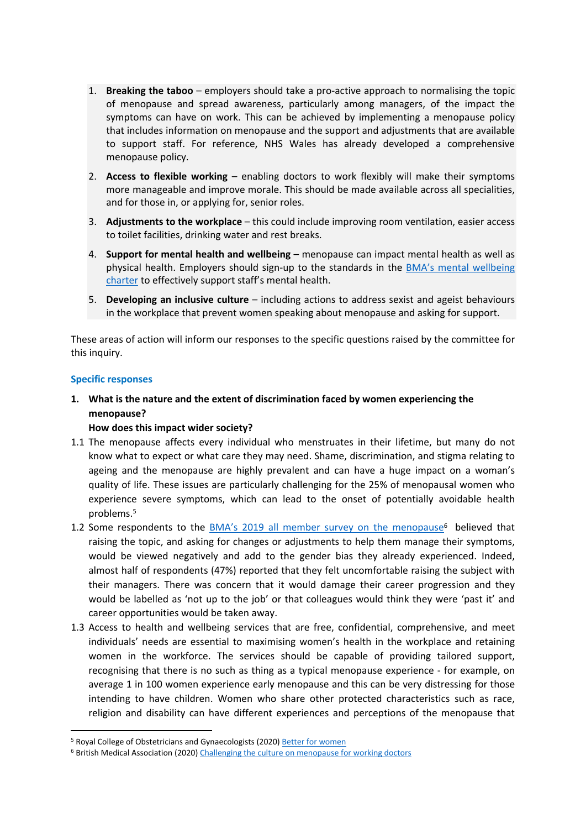- 1. **Breaking the taboo** employers should take a pro-active approach to normalising the topic of menopause and spread awareness, particularly among managers, of the impact the symptoms can have on work. This can be achieved by implementing a menopause policy that includes information on menopause and the support and adjustments that are available to support staff. For reference, NHS Wales has already developed a comprehensive menopause policy.
- 2. **Access to flexible working** enabling doctors to work flexibly will make their symptoms more manageable and improve morale. This should be made available across all specialities, and for those in, or applying for, senior roles.
- 3. **Adjustments to the workplace** this could include improving room ventilation, easier access to toilet facilities, drinking water and rest breaks.
- 4. **Support for mental health and wellbeing** menopause can impact mental health as well as physical health. Employers should sign-up to the standards in the [BMA's](https://www.bma.org.uk/advice-and-support/nhs-delivery-and-workforce/mental-health-of-doctors-and-medical-students/improving-the-mental-wellbeing-of-doctors-and-medical-students) [mental](https://www.bma.org.uk/advice-and-support/nhs-delivery-and-workforce/mental-health-of-doctors-and-medical-students/improving-the-mental-wellbeing-of-doctors-and-medical-students) [wellbeing](https://www.bma.org.uk/advice-and-support/nhs-delivery-and-workforce/mental-health-of-doctors-and-medical-students/improving-the-mental-wellbeing-of-doctors-and-medical-students) [charter](https://www.bma.org.uk/advice-and-support/nhs-delivery-and-workforce/mental-health-of-doctors-and-medical-students/improving-the-mental-wellbeing-of-doctors-and-medical-students) to effectively support staff's mental health.
- 5. **Developing an inclusive culture** including actions to address sexist and ageist behaviours in the workplace that prevent women speaking about menopause and asking for support.

These areas of action will inform our responses to the specific questions raised by the committee for this inquiry.

#### **Specific responses**

**1. What is the nature and the extent of discrimination faced by women experiencing the menopause?**

#### **How does this impact wider society?**

- 1.1 The menopause affects every individual who menstruates in their lifetime, but many do not know what to expect or what care they may need. Shame, discrimination, and stigma relating to ageing and the menopause are highly prevalent and can have a huge impact on a woman's quality of life. These issues are particularly challenging for the 25% of menopausal women who experience severe symptoms, which can lead to the onset of potentially avoidable health problems.<sup>5</sup>
- 1.2 Some respondents to the [BMA's](https://www.bma.org.uk/media/2913/bma-challenging-the-culture-on-menopause-for-working-doctors-report-aug-2020.pdf) [2019](https://www.bma.org.uk/media/2913/bma-challenging-the-culture-on-menopause-for-working-doctors-report-aug-2020.pdf) [all](https://www.bma.org.uk/media/2913/bma-challenging-the-culture-on-menopause-for-working-doctors-report-aug-2020.pdf) [member](https://www.bma.org.uk/media/2913/bma-challenging-the-culture-on-menopause-for-working-doctors-report-aug-2020.pdf) [survey](https://www.bma.org.uk/media/2913/bma-challenging-the-culture-on-menopause-for-working-doctors-report-aug-2020.pdf) [on](https://www.bma.org.uk/media/2913/bma-challenging-the-culture-on-menopause-for-working-doctors-report-aug-2020.pdf) [the](https://www.bma.org.uk/media/2913/bma-challenging-the-culture-on-menopause-for-working-doctors-report-aug-2020.pdf) [menopause](https://www.bma.org.uk/media/2913/bma-challenging-the-culture-on-menopause-for-working-doctors-report-aug-2020.pdf)<sup>6</sup> believed that raising the topic, and asking for changes or adjustments to help them manage their symptoms, would be viewed negatively and add to the gender bias they already experienced. Indeed, almost half of respondents (47%) reported that they felt uncomfortable raising the subject with their managers. There was concern that it would damage their career progression and they would be labelled as 'not up to the job' or that colleagues would think they were 'past it' and career opportunities would be taken away.
- 1.3 Access to health and wellbeing services that are free, confidential, comprehensive, and meet individuals' needs are essential to maximising women's health in the workplace and retaining women in the workforce. The services should be capable of providing tailored support, recognising that there is no such as thing as a typical menopause experience - for example, on average 1 in 100 women experience early menopause and this can be very distressing for those intending to have children. Women who share other protected characteristics such as race, religion and disability can have different experiences and perceptions of the menopause that

<sup>&</sup>lt;sup>5</sup> Royal College of Obstetricians and Gynaecologists (2020) [Better](https://www.rcog.org.uk/globalassets/documents/news/campaigns-and-opinions/better-for-women/better-for-women-full-report.pdf) [for](https://www.rcog.org.uk/globalassets/documents/news/campaigns-and-opinions/better-for-women/better-for-women-full-report.pdf) [women](https://www.rcog.org.uk/globalassets/documents/news/campaigns-and-opinions/better-for-women/better-for-women-full-report.pdf)

<sup>&</sup>lt;sup>6</sup> British Medical Association (2020) [Challenging](https://www.bma.org.uk/media/2913/bma-challenging-the-culture-on-menopause-for-working-doctors-report-aug-2020.pdf) [the](https://www.bma.org.uk/media/2913/bma-challenging-the-culture-on-menopause-for-working-doctors-report-aug-2020.pdf) [culture](https://www.bma.org.uk/media/2913/bma-challenging-the-culture-on-menopause-for-working-doctors-report-aug-2020.pdf) [on](https://www.bma.org.uk/media/2913/bma-challenging-the-culture-on-menopause-for-working-doctors-report-aug-2020.pdf) [menopause](https://www.bma.org.uk/media/2913/bma-challenging-the-culture-on-menopause-for-working-doctors-report-aug-2020.pdf) [for](https://www.bma.org.uk/media/2913/bma-challenging-the-culture-on-menopause-for-working-doctors-report-aug-2020.pdf) [working](https://www.bma.org.uk/media/2913/bma-challenging-the-culture-on-menopause-for-working-doctors-report-aug-2020.pdf) [doctors](https://www.bma.org.uk/media/2913/bma-challenging-the-culture-on-menopause-for-working-doctors-report-aug-2020.pdf)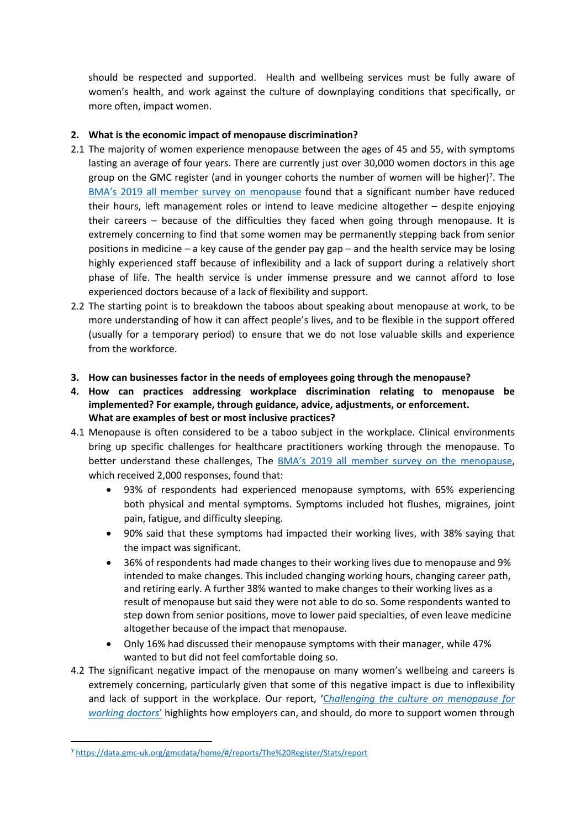should be respected and supported. Health and wellbeing services must be fully aware of women's health, and work against the culture of downplaying conditions that specifically, or more often, impact women.

# **2. What is the economic impact of menopause discrimination?**

- 2.1 The majority of women experience menopause between the ages of 45 and 55, with symptoms lasting an average of four years. There are currently just over 30,000 women doctors in this age group on the GMC register (and in younger cohorts the number of women will be higher)<sup>7</sup>. The [BMA's](https://www.bma.org.uk/media/2913/bma-challenging-the-culture-on-menopause-for-working-doctors-report-aug-2020.pdf) [2019](https://www.bma.org.uk/media/2913/bma-challenging-the-culture-on-menopause-for-working-doctors-report-aug-2020.pdf) [all](https://www.bma.org.uk/media/2913/bma-challenging-the-culture-on-menopause-for-working-doctors-report-aug-2020.pdf) [member](https://www.bma.org.uk/media/2913/bma-challenging-the-culture-on-menopause-for-working-doctors-report-aug-2020.pdf) [survey](https://www.bma.org.uk/media/2913/bma-challenging-the-culture-on-menopause-for-working-doctors-report-aug-2020.pdf) [on](https://www.bma.org.uk/media/2913/bma-challenging-the-culture-on-menopause-for-working-doctors-report-aug-2020.pdf) [menopause](https://www.bma.org.uk/media/2913/bma-challenging-the-culture-on-menopause-for-working-doctors-report-aug-2020.pdf) found that a significant number have reduced their hours, left management roles or intend to leave medicine altogether – despite enjoying their careers – because of the difficulties they faced when going through menopause. It is extremely concerning to find that some women may be permanently stepping back from senior positions in medicine – a key cause of the gender pay gap – and the health service may be losing highly experienced staff because of inflexibility and a lack of support during a relatively short phase of life. The health service is under immense pressure and we cannot afford to lose experienced doctors because of a lack of flexibility and support.
- 2.2 The starting point is to breakdown the taboos about speaking about menopause at work, to be more understanding of how it can affect people's lives, and to be flexible in the support offered (usually for a temporary period) to ensure that we do not lose valuable skills and experience from the workforce.
- **3. How can businesses factor in the needs of employees going through the menopause?**
- **4. How can practices addressing workplace discrimination relating to menopause be implemented? For example, through guidance, advice, adjustments, or enforcement. What are examples of best or most inclusive practices?**
- 4.1 Menopause is often considered to be a taboo subject in the workplace. Clinical environments bring up specific challenges for healthcare practitioners working through the menopause. To better understand these challenges, The [BMA's](https://www.bma.org.uk/media/2913/bma-challenging-the-culture-on-menopause-for-working-doctors-report-aug-2020.pdf) [2019](https://www.bma.org.uk/media/2913/bma-challenging-the-culture-on-menopause-for-working-doctors-report-aug-2020.pdf) [all](https://www.bma.org.uk/media/2913/bma-challenging-the-culture-on-menopause-for-working-doctors-report-aug-2020.pdf) [member](https://www.bma.org.uk/media/2913/bma-challenging-the-culture-on-menopause-for-working-doctors-report-aug-2020.pdf) [survey](https://www.bma.org.uk/media/2913/bma-challenging-the-culture-on-menopause-for-working-doctors-report-aug-2020.pdf) [on](https://www.bma.org.uk/media/2913/bma-challenging-the-culture-on-menopause-for-working-doctors-report-aug-2020.pdf) [the](https://www.bma.org.uk/media/2913/bma-challenging-the-culture-on-menopause-for-working-doctors-report-aug-2020.pdf) [menopause,](https://www.bma.org.uk/media/2913/bma-challenging-the-culture-on-menopause-for-working-doctors-report-aug-2020.pdf) which received 2,000 responses, found that:
	- 93% of respondents had experienced menopause symptoms, with 65% experiencing both physical and mental symptoms. Symptoms included hot flushes, migraines, joint pain, fatigue, and difficulty sleeping.
	- 90% said that these symptoms had impacted their working lives, with 38% saying that the impact was significant.
	- 36% of respondents had made changes to their working lives due to menopause and 9% intended to make changes. This included changing working hours, changing career path, and retiring early. A further 38% wanted to make changes to their working lives as a result of menopause but said they were not able to do so. Some respondents wanted to step down from senior positions, move to lower paid specialties, of even leave medicine altogether because of the impact that menopause.
	- Only 16% had discussed their menopause symptoms with their manager, while 47% wanted to but did not feel comfortable doing so.
- 4.2 The significant negative impact of the menopause on many women's wellbeing and careers is extremely concerning, particularly given that some of this negative impact is due to inflexibility and lack of support in the workplace. Our report, '[C](https://www.bma.org.uk/media/2913/bma-challenging-the-culture-on-menopause-for-working-doctors-report-aug-2020.pdf)*[hallenging](https://www.bma.org.uk/media/2913/bma-challenging-the-culture-on-menopause-for-working-doctors-report-aug-2020.pdf) [the](https://www.bma.org.uk/media/2913/bma-challenging-the-culture-on-menopause-for-working-doctors-report-aug-2020.pdf) [culture](https://www.bma.org.uk/media/2913/bma-challenging-the-culture-on-menopause-for-working-doctors-report-aug-2020.pdf) [on](https://www.bma.org.uk/media/2913/bma-challenging-the-culture-on-menopause-for-working-doctors-report-aug-2020.pdf) [menopause](https://www.bma.org.uk/media/2913/bma-challenging-the-culture-on-menopause-for-working-doctors-report-aug-2020.pdf) [for](https://www.bma.org.uk/media/2913/bma-challenging-the-culture-on-menopause-for-working-doctors-report-aug-2020.pdf) [working](https://www.bma.org.uk/media/2913/bma-challenging-the-culture-on-menopause-for-working-doctors-report-aug-2020.pdf) [doctors](https://www.bma.org.uk/media/2913/bma-challenging-the-culture-on-menopause-for-working-doctors-report-aug-2020.pdf)*['](https://www.bma.org.uk/media/2913/bma-challenging-the-culture-on-menopause-for-working-doctors-report-aug-2020.pdf) highlights how employers can, and should, do more to support women through

<sup>7</sup> <https://data.gmc-uk.org/gmcdata/home/#/reports/The%20Register/Stats/report>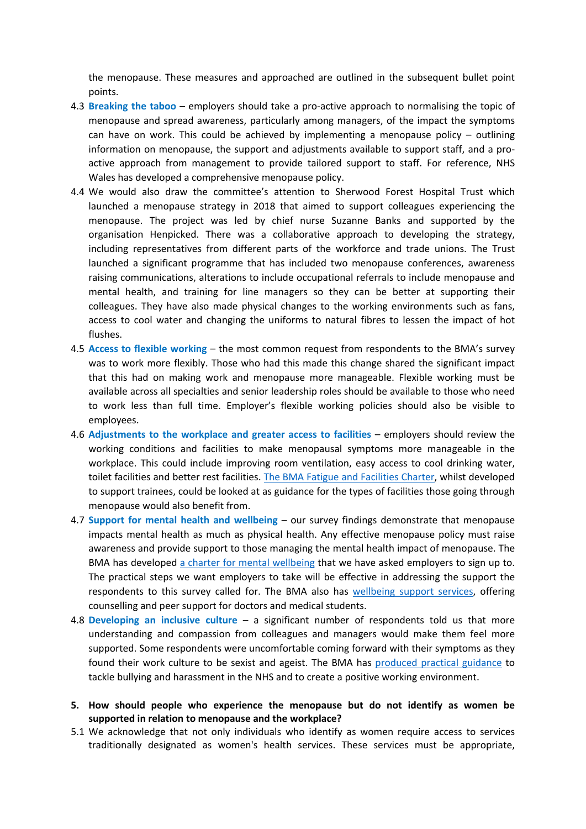the menopause. These measures and approached are outlined in the subsequent bullet point points.

- 4.3 **Breaking the taboo** employers should take a pro-active approach to normalising the topic of menopause and spread awareness, particularly among managers, of the impact the symptoms can have on work. This could be achieved by implementing a menopause policy  $-$  outlining information on menopause, the support and adjustments available to support staff, and a proactive approach from management to provide tailored support to staff. For reference, NHS Wales has developed a comprehensive menopause policy.
- 4.4 We would also draw the committee's attention to Sherwood Forest Hospital Trust which launched a menopause strategy in 2018 that aimed to support colleagues experiencing the menopause. The project was led by chief nurse Suzanne Banks and supported by the organisation Henpicked. There was a collaborative approach to developing the strategy, including representatives from different parts of the workforce and trade unions. The Trust launched a significant programme that has included two menopause conferences, awareness raising communications, alterations to include occupational referrals to include menopause and mental health, and training for line managers so they can be better at supporting their colleagues. They have also made physical changes to the working environments such as fans, access to cool water and changing the uniforms to natural fibres to lessen the impact of hot flushes.
- 4.5 **Access to flexible working** the most common request from respondents to the BMA's survey was to work more flexibly. Those who had this made this change shared the significant impact that this had on making work and menopause more manageable. Flexible working must be available across all specialties and senior leadership roles should be available to those who need to work less than full time. Employer's flexible working policies should also be visible to employees.
- 4.6 **Adjustments to the workplace and greater access to facilities** employers should review the working conditions and facilities to make menopausal symptoms more manageable in the workplace. This could include improving room ventilation, easy access to cool drinking water, toilet facilities and better rest facilities. [The](https://www.bma.org.uk/media/1076/bma-fatigue-and-facilities-charter_july2018.pdf) [BMA](https://www.bma.org.uk/media/1076/bma-fatigue-and-facilities-charter_july2018.pdf) [Fatigue](https://www.bma.org.uk/media/1076/bma-fatigue-and-facilities-charter_july2018.pdf) [and](https://www.bma.org.uk/media/1076/bma-fatigue-and-facilities-charter_july2018.pdf) [Facilities](https://www.bma.org.uk/media/1076/bma-fatigue-and-facilities-charter_july2018.pdf) [Charter,](https://www.bma.org.uk/media/1076/bma-fatigue-and-facilities-charter_july2018.pdf) whilst developed to support trainees, could be looked at as guidance for the types of facilities those going through menopause would also benefit from.
- 4.7 **Support for mental health and wellbeing** our survey findings demonstrate that menopause impacts mental health as much as physical health. Any effective menopause policy must raise awareness and provide support to those managing the mental health impact of menopause. The BMA has developed [a](https://www.bma.org.uk/media/1352/bma-mental-wellbeing-charter-oct-2019.pdf) [charter](https://www.bma.org.uk/media/1352/bma-mental-wellbeing-charter-oct-2019.pdf) [for](https://www.bma.org.uk/media/1352/bma-mental-wellbeing-charter-oct-2019.pdf) [mental](https://www.bma.org.uk/media/1352/bma-mental-wellbeing-charter-oct-2019.pdf) [wellbeing](https://www.bma.org.uk/media/1352/bma-mental-wellbeing-charter-oct-2019.pdf) that we have asked employers to sign up to. The practical steps we want employers to take will be effective in addressing the support the respondents to this survey called for. The BMA also has [wellbeing](https://www.bma.org.uk/advice-and-support/your-wellbeing) [support](https://www.bma.org.uk/advice-and-support/your-wellbeing) [services,](https://www.bma.org.uk/advice-and-support/your-wellbeing) offering counselling and peer support for doctors and medical students.
- 4.8 **Developing an inclusive culture** a significant number of respondents told us that more understanding and compassion from colleagues and managers would make them feel more supported. Some respondents were uncomfortable coming forward with their symptoms as they found their work culture to be sexist and ageist. The BMA has [produced](https://www.bma.org.uk/advice-and-support/discrimination-and-harassment/bullying-and-harassment/promoting-a-positive-working-environment) [practical](https://www.bma.org.uk/advice-and-support/discrimination-and-harassment/bullying-and-harassment/promoting-a-positive-working-environment) [guidance](https://www.bma.org.uk/advice-and-support/discrimination-and-harassment/bullying-and-harassment/promoting-a-positive-working-environment) to tackle bullying and harassment in the NHS and to create a positive working environment.
- **5. How should people who experience the menopause but do not identify as women be supported in relation to menopause and the workplace?**
- 5.1 We acknowledge that not only individuals who identify as women require access to services traditionally designated as women's health services. These services must be appropriate,